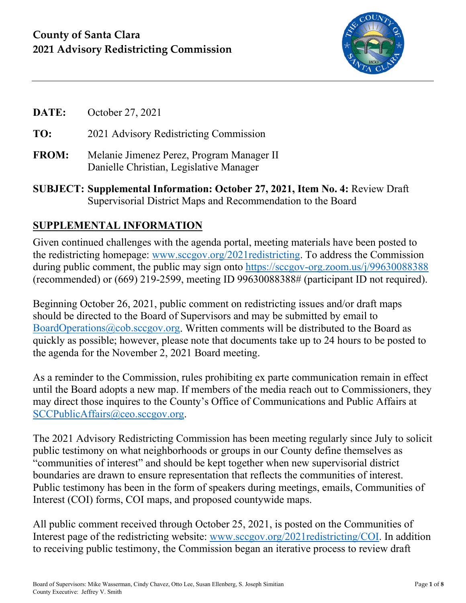

- **DATE:** October 27, 2021 **TO:** 2021 Advisory Redistricting Commission **FROM:** Melanie Jimenez Perez, Program Manager II Danielle Christian, Legislative Manager
- **SUBJECT: Supplemental Information: October 27, 2021, Item No. 4:** Review Draft Supervisorial District Maps and Recommendation to the Board

## **SUPPLEMENTAL INFORMATION**

Given continued challenges with the agenda portal, meeting materials have been posted to the redistricting homepage: [www.sccgov.org/2021redistricting.](http://www.sccgov.org/2021redistricting) To address the Commission during public comment, the public may sign onto <https://sccgov-org.zoom.us/j/99630088388> (recommended) or (669) 219-2599, meeting ID 99630088388# (participant ID not required).

Beginning October 26, 2021, public comment on redistricting issues and/or draft maps should be directed to the Board of Supervisors and may be submitted by email to [BoardOperations@cob.sccgov.org.](mailto:BoardOperations@cob.sccgov.org) Written comments will be distributed to the Board as quickly as possible; however, please note that documents take up to 24 hours to be posted to the agenda for the November 2, 2021 Board meeting.

As a reminder to the Commission, rules prohibiting ex parte communication remain in effect until the Board adopts a new map. If members of the media reach out to Commissioners, they may direct those inquires to the County's Office of Communications and Public Affairs at [SCCPublicAffairs@ceo.sccgov.org.](mailto:SCCPublicAffairs@ceo.sccgov.org)

The 2021 Advisory Redistricting Commission has been meeting regularly since July to solicit public testimony on what neighborhoods or groups in our County define themselves as "communities of interest" and should be kept together when new supervisorial district boundaries are drawn to ensure representation that reflects the communities of interest. Public testimony has been in the form of speakers during meetings, emails, Communities of Interest (COI) forms, COI maps, and proposed countywide maps.

All public comment received through October 25, 2021, is posted on the Communities of Interest page of the redistricting website: [www.sccgov.org/2021redistricting/COI.](http://www.sccgov.org/2021redistricting/COI) In addition to receiving public testimony, the Commission began an iterative process to review draft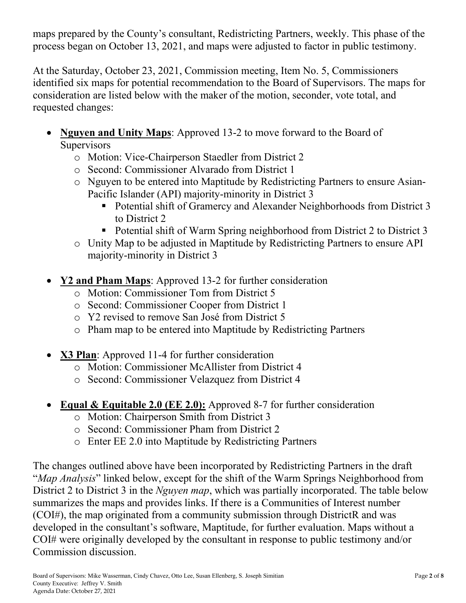maps prepared by the County's consultant, Redistricting Partners, weekly. This phase of the process began on October 13, 2021, and maps were adjusted to factor in public testimony.

At the Saturday, October 23, 2021, Commission meeting, Item No. 5, Commissioners identified six maps for potential recommendation to the Board of Supervisors. The maps for consideration are listed below with the maker of the motion, seconder, vote total, and requested changes:

- **Nguyen and Unity Maps**: Approved 13-2 to move forward to the Board of **Supervisors** 
	- o Motion: Vice-Chairperson Staedler from District 2
	- o Second: Commissioner Alvarado from District 1
	- o Nguyen to be entered into Maptitude by Redistricting Partners to ensure Asian-Pacific Islander (API) majority-minority in District 3
		- Potential shift of Gramercy and Alexander Neighborhoods from District 3 to District 2
		- Potential shift of Warm Spring neighborhood from District 2 to District 3
	- o Unity Map to be adjusted in Maptitude by Redistricting Partners to ensure API majority-minority in District 3
- **Y2 and Pham Maps**: Approved 13-2 for further consideration
	- o Motion: Commissioner Tom from District 5
	- o Second: Commissioner Cooper from District 1
	- o Y2 revised to remove San José from District 5
	- o Pham map to be entered into Maptitude by Redistricting Partners
- **X3 Plan**: Approved 11-4 for further consideration
	- o Motion: Commissioner McAllister from District 4
	- o Second: Commissioner Velazquez from District 4
- **Equal & Equitable 2.0 (EE 2.0):** Approved 8-7 for further consideration
	- o Motion: Chairperson Smith from District 3
	- o Second: Commissioner Pham from District 2
	- o Enter EE 2.0 into Maptitude by Redistricting Partners

The changes outlined above have been incorporated by Redistricting Partners in the draft "*Map Analysis*" linked below, except for the shift of the Warm Springs Neighborhood from District 2 to District 3 in the *Nguyen map*, which was partially incorporated. The table below summarizes the maps and provides links. If there is a Communities of Interest number (COI#), the map originated from a community submission through DistrictR and was developed in the consultant's software, Maptitude, for further evaluation. Maps without a COI# were originally developed by the consultant in response to public testimony and/or Commission discussion.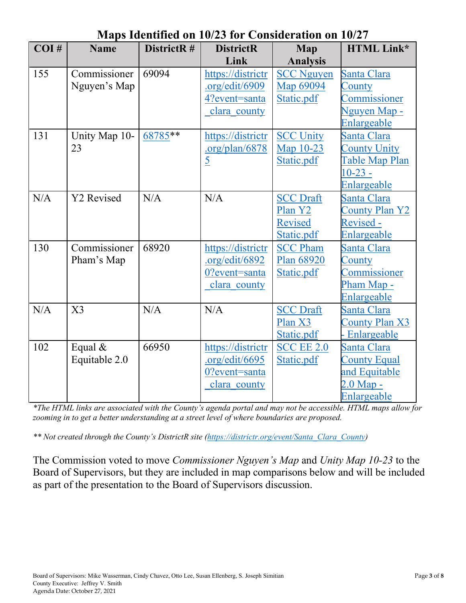| наря Iuchthicu un Iu/29 Iul Consideration un Iu/27 |                |            |                   |                   |                       |
|----------------------------------------------------|----------------|------------|-------------------|-------------------|-----------------------|
| COI#                                               | <b>Name</b>    | DistrictR# | <b>DistrictR</b>  | <b>Map</b>        | <b>HTML Link*</b>     |
|                                                    |                |            | Link              | <b>Analysis</b>   |                       |
| 155                                                | Commissioner   | 69094      | https://districtr | <b>SCC Nguyen</b> | Santa Clara           |
|                                                    | Nguyen's Map   |            | .org/edit/6909    | Map 69094         | County                |
|                                                    |                |            | 4?event=santa     | Static.pdf        | Commissioner          |
|                                                    |                |            | clara county      |                   | Nguyen Map -          |
|                                                    |                |            |                   |                   | Enlargeable           |
| 131                                                | Unity Map 10-  | $68785***$ | https://districtr | <b>SCC Unity</b>  | Santa Clara           |
|                                                    | 23             |            | .org/plan/6878    | Map 10-23         | <b>County Unity</b>   |
|                                                    |                |            | $\overline{5}$    | Static.pdf        | Table Map Plan        |
|                                                    |                |            |                   |                   | $10-23 -$             |
|                                                    |                |            |                   |                   | Enlargeable           |
| N/A                                                | Y2 Revised     | N/A        | N/A               | <b>SCC Draft</b>  | Santa Clara           |
|                                                    |                |            |                   | Plan Y2           | <b>County Plan Y2</b> |
|                                                    |                |            |                   | Revised           | Revised -             |
|                                                    |                |            |                   | Static.pdf        | Enlargeable           |
| 130                                                | Commissioner   | 68920      | https://districtr | <b>SCC Pham</b>   | Santa Clara           |
|                                                    | Pham's Map     |            | .org/edit/6892    | Plan 68920        | County                |
|                                                    |                |            | 0?event=santa     | Static.pdf        | Commissioner          |
|                                                    |                |            | clara county      |                   | Pham Map -            |
|                                                    |                |            |                   |                   | Enlargeable           |
| N/A                                                | X <sub>3</sub> | N/A        | N/A               | <b>SCC Draft</b>  | Santa Clara           |
|                                                    |                |            |                   | Plan X3           | <b>County Plan X3</b> |
|                                                    |                |            |                   | Static.pdf        | Enlargeable           |
| 102                                                | Equal $&$      | 66950      | https://districtr | <b>SCC EE 2.0</b> | Santa Clara           |
|                                                    | Equitable 2.0  |            | .org/edit/6695    | Static.pdf        | <b>County Equal</b>   |
|                                                    |                |            | 0?event=santa     |                   | and Equitable         |
|                                                    |                |            | clara county      |                   | $2.0$ Map $-$         |
|                                                    |                |            |                   |                   | Enlargeable           |

# **Maps Identified on 10/23 for Consideration on 10/27**

*\*The HTML links are associated with the County's agenda portal and may not be accessible. HTML maps allow for zooming in to get a better understanding at a street level of where boundaries are proposed.*

*\*\* Not created through the County's DistrictR site [\(https://districtr.org/event/Santa\\_Clara\\_County\)](https://districtr.org/event/Santa_Clara_County)* 

The Commission voted to move *Commissioner Nguyen's Map* and *Unity Map 10-23* to the Board of Supervisors, but they are included in map comparisons below and will be included as part of the presentation to the Board of Supervisors discussion.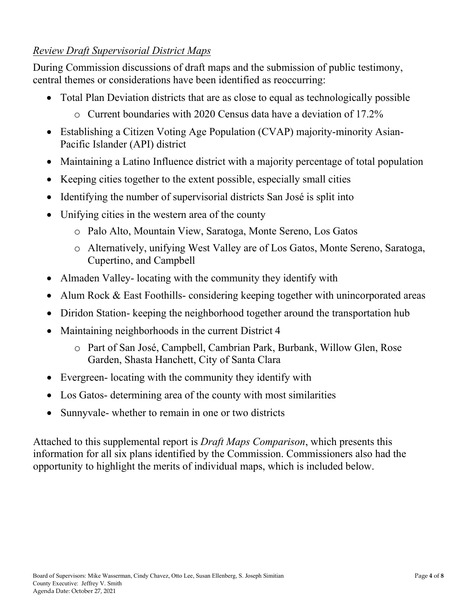## *Review Draft Supervisorial District Maps*

During Commission discussions of draft maps and the submission of public testimony, central themes or considerations have been identified as reoccurring:

- Total Plan Deviation districts that are as close to equal as technologically possible
	- $\circ$  Current boundaries with 2020 Census data have a deviation of 17.2%
- Establishing a Citizen Voting Age Population (CVAP) majority-minority Asian-Pacific Islander (API) district
- Maintaining a Latino Influence district with a majority percentage of total population
- Keeping cities together to the extent possible, especially small cities
- Identifying the number of supervisorial districts San José is split into
- Unifying cities in the western area of the county
	- o Palo Alto, Mountain View, Saratoga, Monte Sereno, Los Gatos
	- o Alternatively, unifying West Valley are of Los Gatos, Monte Sereno, Saratoga, Cupertino, and Campbell
- Almaden Valley-locating with the community they identify with
- Alum Rock & East Foothills-considering keeping together with unincorporated areas
- Diridon Station- keeping the neighborhood together around the transportation hub
- Maintaining neighborhoods in the current District 4
	- o Part of San José, Campbell, Cambrian Park, Burbank, Willow Glen, Rose Garden, Shasta Hanchett, City of Santa Clara
- Evergreen- locating with the community they identify with
- Los Gatos- determining area of the county with most similarities
- Sunnyvale- whether to remain in one or two districts

Attached to this supplemental report is *Draft Maps Comparison*, which presents this information for all six plans identified by the Commission. Commissioners also had the opportunity to highlight the merits of individual maps, which is included below.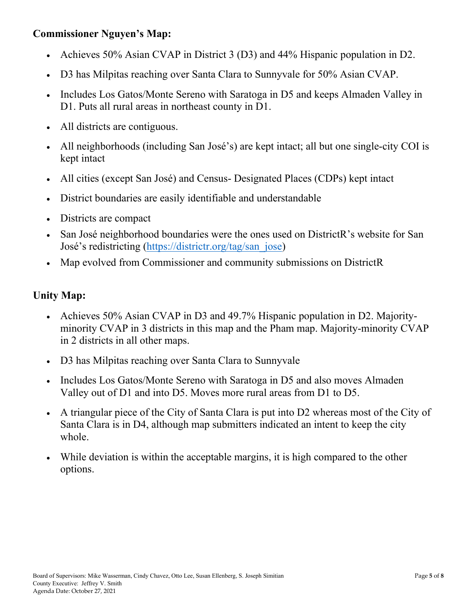#### **Commissioner Nguyen's Map:**

- Achieves 50% Asian CVAP in District 3 (D3) and 44% Hispanic population in D2.
- D3 has Milpitas reaching over Santa Clara to Sunnyvale for 50% Asian CVAP.
- Includes Los Gatos/Monte Sereno with Saratoga in D5 and keeps Almaden Valley in D1. Puts all rural areas in northeast county in D1.
- All districts are contiguous.
- All neighborhoods (including San José's) are kept intact; all but one single-city COI is kept intact
- All cities (except San José) and Census-Designated Places (CDPs) kept intact
- District boundaries are easily identifiable and understandable
- Districts are compact
- San José neighborhood boundaries were the ones used on DistrictR's website for San José's redistricting [\(https://districtr.org/tag/san\\_jose\)](https://districtr.org/tag/san_jose)
- Map evolved from Commissioner and community submissions on DistrictR

#### **Unity Map:**

- Achieves 50% Asian CVAP in D3 and 49.7% Hispanic population in D2. Majorityminority CVAP in 3 districts in this map and the Pham map. Majority-minority CVAP in 2 districts in all other maps.
- D3 has Milpitas reaching over Santa Clara to Sunnyvale
- Includes Los Gatos/Monte Sereno with Saratoga in D5 and also moves Almaden Valley out of D1 and into D5. Moves more rural areas from D1 to D5.
- A triangular piece of the City of Santa Clara is put into D2 whereas most of the City of Santa Clara is in D4, although map submitters indicated an intent to keep the city whole.
- While deviation is within the acceptable margins, it is high compared to the other options.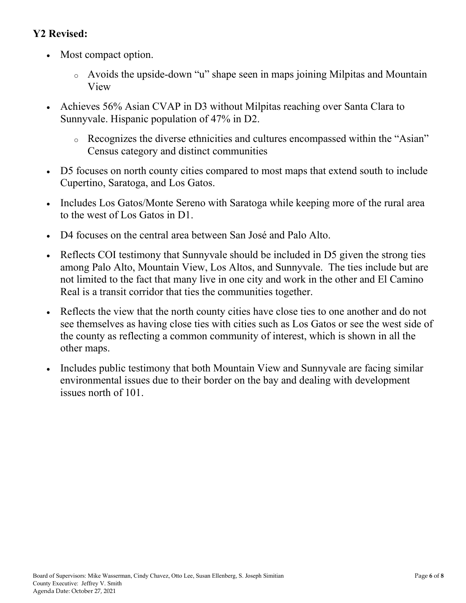## **Y2 Revised:**

- Most compact option.
	- <sup>o</sup> Avoids the upside-down "u" shape seen in maps joining Milpitas and Mountain View
- Achieves 56% Asian CVAP in D3 without Milpitas reaching over Santa Clara to Sunnyvale. Hispanic population of 47% in D2.
	- <sup>o</sup> Recognizes the diverse ethnicities and cultures encompassed within the "Asian" Census category and distinct communities
- D5 focuses on north county cities compared to most maps that extend south to include Cupertino, Saratoga, and Los Gatos.
- Includes Los Gatos/Monte Sereno with Saratoga while keeping more of the rural area to the west of Los Gatos in D1.
- D4 focuses on the central area between San José and Palo Alto.
- Reflects COI testimony that Sunnyvale should be included in D5 given the strong ties among Palo Alto, Mountain View, Los Altos, and Sunnyvale. The ties include but are not limited to the fact that many live in one city and work in the other and El Camino Real is a transit corridor that ties the communities together.
- Reflects the view that the north county cities have close ties to one another and do not see themselves as having close ties with cities such as Los Gatos or see the west side of the county as reflecting a common community of interest, which is shown in all the other maps.
- Includes public testimony that both Mountain View and Sunnyvale are facing similar environmental issues due to their border on the bay and dealing with development issues north of 101.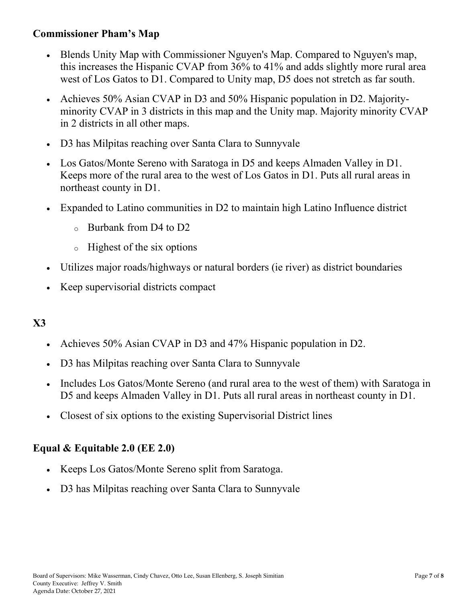#### **Commissioner Pham's Map**

- Blends Unity Map with Commissioner Nguyen's Map. Compared to Nguyen's map, this increases the Hispanic CVAP from 36% to 41% and adds slightly more rural area west of Los Gatos to D1. Compared to Unity map, D5 does not stretch as far south.
- Achieves 50% Asian CVAP in D3 and 50% Hispanic population in D2. Majorityminority CVAP in 3 districts in this map and the Unity map. Majority minority CVAP in 2 districts in all other maps.
- D3 has Milpitas reaching over Santa Clara to Sunnyvale
- Los Gatos/Monte Sereno with Saratoga in D5 and keeps Almaden Valley in D1. Keeps more of the rural area to the west of Los Gatos in D1. Puts all rural areas in northeast county in D1.
- Expanded to Latino communities in D2 to maintain high Latino Influence district
	- $\alpha$  Burbank from D4 to D2
	- <sup>o</sup> Highest of the six options
- Utilizes major roads/highways or natural borders (ie river) as district boundaries
- Keep supervisorial districts compact

## **X3**

- Achieves 50% Asian CVAP in D3 and 47% Hispanic population in D2.
- D3 has Milpitas reaching over Santa Clara to Sunnyvale
- Includes Los Gatos/Monte Sereno (and rural area to the west of them) with Saratoga in D5 and keeps Almaden Valley in D1. Puts all rural areas in northeast county in D1.
- Closest of six options to the existing Supervisorial District lines

#### **Equal & Equitable 2.0 (EE 2.0)**

- Keeps Los Gatos/Monte Sereno split from Saratoga.
- D3 has Milpitas reaching over Santa Clara to Sunnyvale